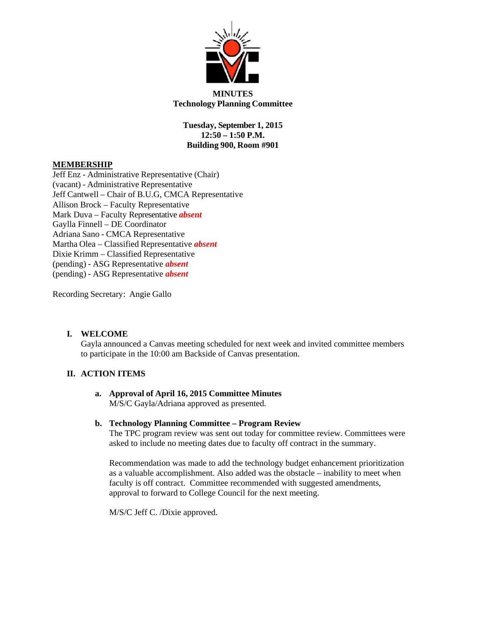

**MINUTES Technology Planning Committee**

**Tuesday, September 1, 2015 12:50 – 1:50 P.M. Building 900, Room #901**

## **MEMBERSHIP**

Jeff Enz - Administrative Representative (Chair) (vacant) - Administrative Representative Jeff Cantwell – Chair of B.U.G, CMCA Representative Allison Brock – Faculty Representative Mark Duva – Faculty Representative *absent* Gaylla Finnell – DE Coordinator Adriana Sano - CMCA Representative Martha Olea – Classified Representative *absent* Dixie Krimm – Classified Representative (pending) - ASG Representative *absent* (pending) - ASG Representative *absent*

Recording Secretary: Angie Gallo

# **I. WELCOME**

Gayla announced a Canvas meeting scheduled for next week and invited committee members to participate in the 10:00 am Backside of Canvas presentation.

# **II. ACTION ITEMS**

## **a. Approval of April 16, 2015 Committee Minutes**  M/S/C Gayla/Adriana approved as presented.

#### **b. Technology Planning Committee – Program Review**

The TPC program review was sent out today for committee review. Committees were asked to include no meeting dates due to faculty off contract in the summary.

Recommendation was made to add the technology budget enhancement prioritization as a valuable accomplishment. Also added was the obstacle – inability to meet when faculty is off contract. Committee recommended with suggested amendments, approval to forward to College Council for the next meeting.

M/S/C Jeff C. /Dixie approved.